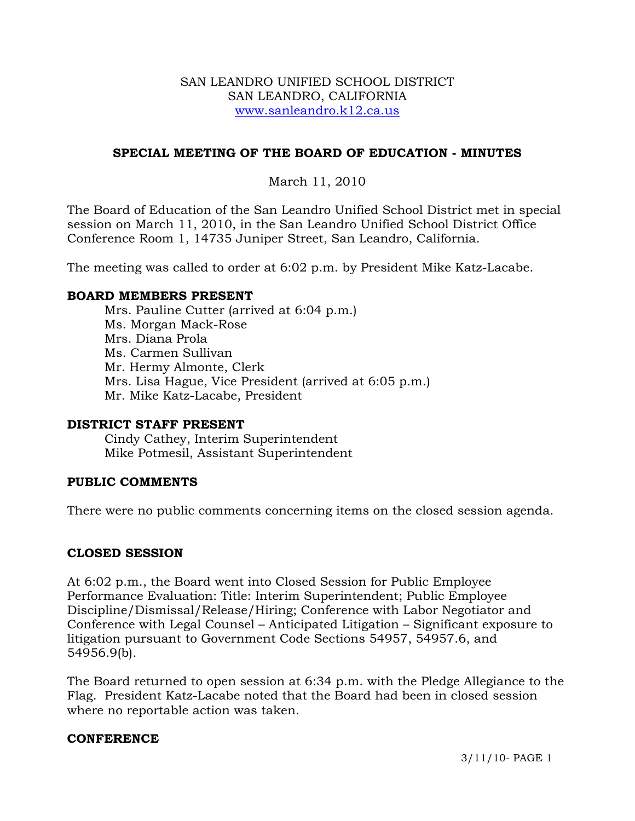#### SAN LEANDRO UNIFIED SCHOOL DISTRICT SAN LEANDRO, CALIFORNIA www.sanleandro.k12.ca.us

# **SPECIAL MEETING OF THE BOARD OF EDUCATION - MINUTES**

# March 11, 2010

The Board of Education of the San Leandro Unified School District met in special session on March 11, 2010, in the San Leandro Unified School District Office Conference Room 1, 14735 Juniper Street, San Leandro, California.

The meeting was called to order at 6:02 p.m. by President Mike Katz-Lacabe.

#### **BOARD MEMBERS PRESENT**

Mrs. Pauline Cutter (arrived at 6:04 p.m.) Ms. Morgan Mack-Rose Mrs. Diana Prola Ms. Carmen Sullivan Mr. Hermy Almonte, Clerk Mrs. Lisa Hague, Vice President (arrived at 6:05 p.m.) Mr. Mike Katz-Lacabe, President

#### **DISTRICT STAFF PRESENT**

Cindy Cathey, Interim Superintendent Mike Potmesil, Assistant Superintendent

## **PUBLIC COMMENTS**

There were no public comments concerning items on the closed session agenda.

## **CLOSED SESSION**

At 6:02 p.m., the Board went into Closed Session for Public Employee Performance Evaluation: Title: Interim Superintendent; Public Employee Discipline/Dismissal/Release/Hiring; Conference with Labor Negotiator and Conference with Legal Counsel – Anticipated Litigation – Significant exposure to litigation pursuant to Government Code Sections 54957, 54957.6, and 54956.9(b).

The Board returned to open session at 6:34 p.m. with the Pledge Allegiance to the Flag. President Katz-Lacabe noted that the Board had been in closed session where no reportable action was taken.

#### **CONFERENCE**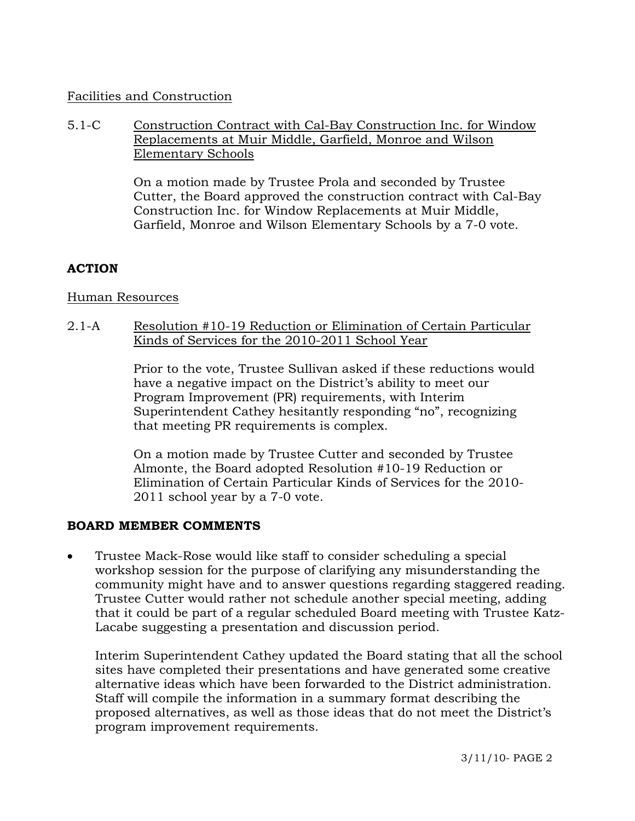## Facilities and Construction

## 5.1-C Construction Contract with Cal-Bay Construction Inc. for Window Replacements at Muir Middle, Garfield, Monroe and Wilson Elementary Schools

On a motion made by Trustee Prola and seconded by Trustee Cutter, the Board approved the construction contract with Cal-Bay Construction Inc. for Window Replacements at Muir Middle, Garfield, Monroe and Wilson Elementary Schools by a 7-0 vote.

## **ACTION**

#### Human Resources

### 2.1-A Resolution #10-19 Reduction or Elimination of Certain Particular Kinds of Services for the 2010-2011 School Year

Prior to the vote, Trustee Sullivan asked if these reductions would have a negative impact on the District's ability to meet our Program Improvement (PR) requirements, with Interim Superintendent Cathey hesitantly responding "no", recognizing that meeting PR requirements is complex.

On a motion made by Trustee Cutter and seconded by Trustee Almonte, the Board adopted Resolution #10-19 Reduction or Elimination of Certain Particular Kinds of Services for the 2010- 2011 school year by a 7-0 vote.

#### **BOARD MEMBER COMMENTS**

• Trustee Mack-Rose would like staff to consider scheduling a special workshop session for the purpose of clarifying any misunderstanding the community might have and to answer questions regarding staggered reading. Trustee Cutter would rather not schedule another special meeting, adding that it could be part of a regular scheduled Board meeting with Trustee Katz-Lacabe suggesting a presentation and discussion period.

 Interim Superintendent Cathey updated the Board stating that all the school sites have completed their presentations and have generated some creative alternative ideas which have been forwarded to the District administration. Staff will compile the information in a summary format describing the proposed alternatives, as well as those ideas that do not meet the District's program improvement requirements.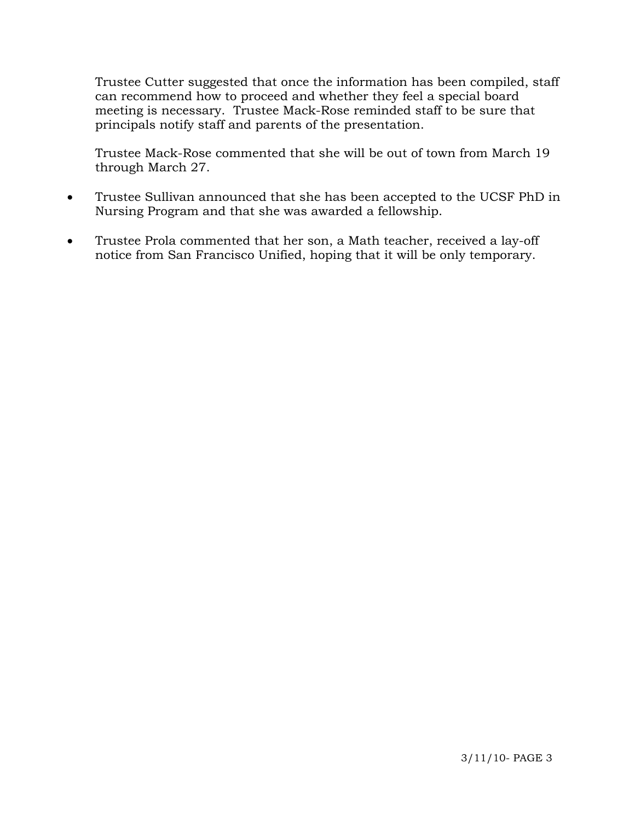Trustee Cutter suggested that once the information has been compiled, staff can recommend how to proceed and whether they feel a special board meeting is necessary. Trustee Mack-Rose reminded staff to be sure that principals notify staff and parents of the presentation.

 Trustee Mack-Rose commented that she will be out of town from March 19 through March 27.

- Trustee Sullivan announced that she has been accepted to the UCSF PhD in Nursing Program and that she was awarded a fellowship.
- Trustee Prola commented that her son, a Math teacher, received a lay-off notice from San Francisco Unified, hoping that it will be only temporary.